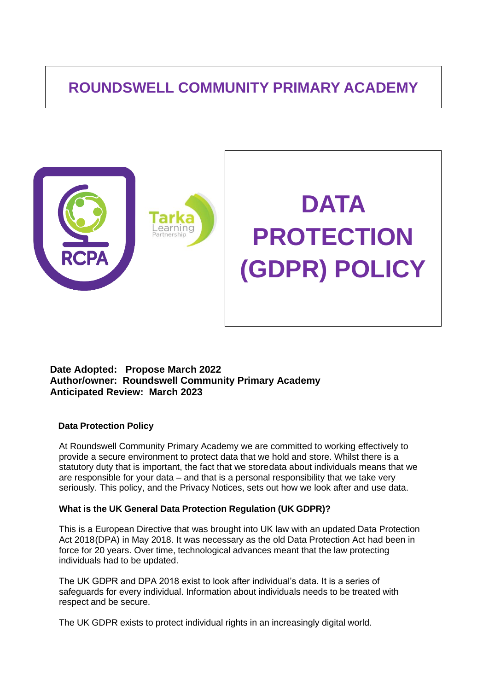# **ROUNDSWELL COMMUNITY PRIMARY ACADEMY**



# **Date Adopted: Propose March 2022 Author/owner: Roundswell Community Primary Academy Anticipated Review: March 2023**

# **Data Protection Policy**

At Roundswell Community Primary Academy we are committed to working effectively to provide a secure environment to protect data that we hold and store. Whilst there is a statutory duty that is important, the fact that we storedata about individuals means that we are responsible for your data – and that is a personal responsibility that we take very seriously. This policy, and the Privacy Notices, sets out how we look after and use data.

# **What is the UK General Data Protection Regulation (UK GDPR)?**

This is a European Directive that was brought into UK law with an updated Data Protection Act 2018(DPA) in May 2018. It was necessary as the old Data Protection Act had been in force for 20 years. Over time, technological advances meant that the law protecting individuals had to be updated.

The UK GDPR and DPA 2018 exist to look after individual's data. It is a series of safeguards for every individual. Information about individuals needs to be treated with respect and be secure.

The UK GDPR exists to protect individual rights in an increasingly digital world.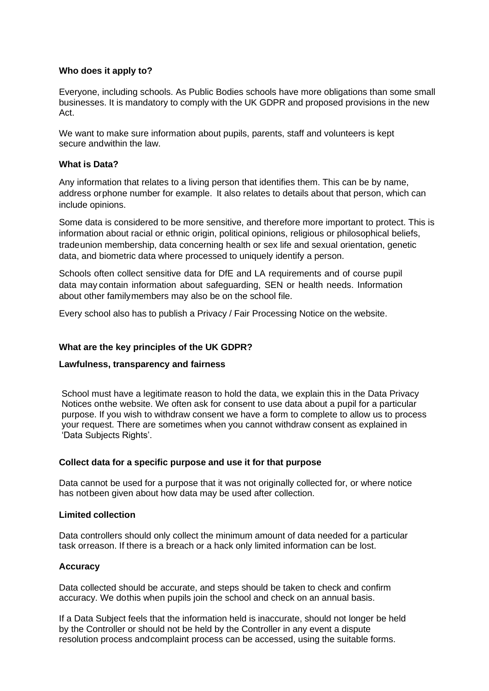# **Who does it apply to?**

Everyone, including schools. As Public Bodies schools have more obligations than some small businesses. It is mandatory to comply with the UK GDPR and proposed provisions in the new Act.

We want to make sure information about pupils, parents, staff and volunteers is kept secure andwithin the law.

# **What is Data?**

Any information that relates to a living person that identifies them. This can be by name, address orphone number for example. It also relates to details about that person, which can include opinions.

Some data is considered to be more sensitive, and therefore more important to protect. This is information about racial or ethnic origin, political opinions, religious or philosophical beliefs, tradeunion membership, data concerning health or sex life and sexual orientation, genetic data, and biometric data where processed to uniquely identify a person.

Schools often collect sensitive data for DfE and LA requirements and of course pupil data may contain information about safeguarding, SEN or health needs. Information about other familymembers may also be on the school file.

Every school also has to publish a Privacy / Fair Processing Notice on the website.

# **What are the key principles of the UK GDPR?**

# **Lawfulness, transparency and fairness**

School must have a legitimate reason to hold the data, we explain this in the Data Privacy Notices onthe website. We often ask for consent to use data about a pupil for a particular purpose. If you wish to withdraw consent we have a form to complete to allow us to process your request. There are sometimes when you cannot withdraw consent as explained in 'Data Subjects Rights'.

# **Collect data for a specific purpose and use it for that purpose**

Data cannot be used for a purpose that it was not originally collected for, or where notice has notbeen given about how data may be used after collection.

#### **Limited collection**

Data controllers should only collect the minimum amount of data needed for a particular task orreason. If there is a breach or a hack only limited information can be lost.

# **Accuracy**

Data collected should be accurate, and steps should be taken to check and confirm accuracy. We dothis when pupils join the school and check on an annual basis.

If a Data Subject feels that the information held is inaccurate, should not longer be held by the Controller or should not be held by the Controller in any event a dispute resolution process andcomplaint process can be accessed, using the suitable forms.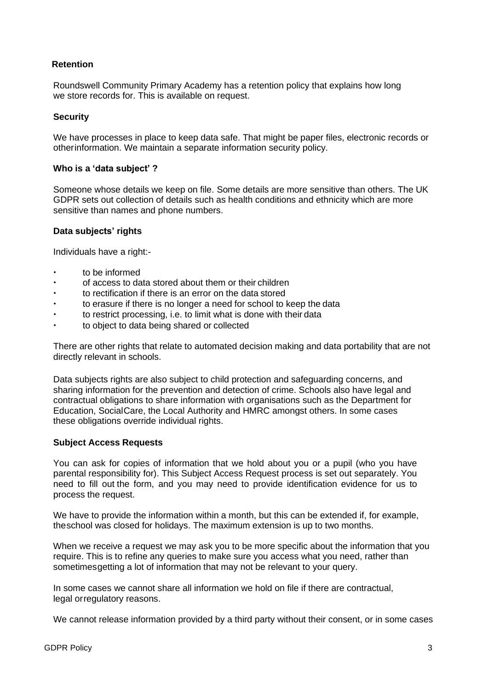# **Retention**

Roundswell Community Primary Academy has a retention policy that explains how long we store records for. This is available on request.

## **Security**

We have processes in place to keep data safe. That might be paper files, electronic records or otherinformation. We maintain a separate information security policy.

## **Who is a 'data subject' ?**

Someone whose details we keep on file. Some details are more sensitive than others. The UK GDPR sets out collection of details such as health conditions and ethnicity which are more sensitive than names and phone numbers.

## **Data subjects' rights**

Individuals have a right:-

- to be informed
- of access to data stored about them or their children
- to rectification if there is an error on the data stored
- to erasure if there is no longer a need for school to keep the data
- to restrict processing, i.e. to limit what is done with their data
- to object to data being shared or collected

There are other rights that relate to automated decision making and data portability that are not directly relevant in schools.

Data subjects rights are also subject to child protection and safeguarding concerns, and sharing information for the prevention and detection of crime. Schools also have legal and contractual obligations to share information with organisations such as the Department for Education, SocialCare, the Local Authority and HMRC amongst others. In some cases these obligations override individual rights.

#### **Subject Access Requests**

You can ask for copies of information that we hold about you or a pupil (who you have parental responsibility for). This Subject Access Request process is set out separately. You need to fill out the form, and you may need to provide identification evidence for us to process the request.

We have to provide the information within a month, but this can be extended if, for example, theschool was closed for holidays. The maximum extension is up to two months.

When we receive a request we may ask you to be more specific about the information that you require. This is to refine any queries to make sure you access what you need, rather than sometimes getting a lot of information that may not be relevant to your query.

In some cases we cannot share all information we hold on file if there are contractual, legal orregulatory reasons.

We cannot release information provided by a third party without their consent, or in some cases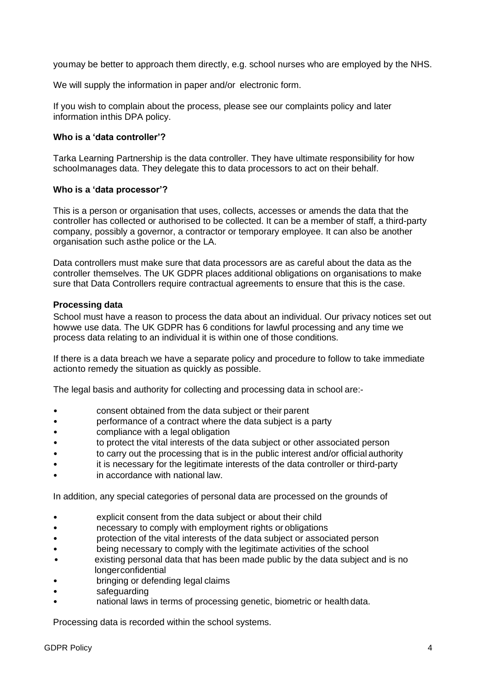youmay be better to approach them directly, e.g. school nurses who are employed by the NHS.

We will supply the information in paper and/or electronic form.

If you wish to complain about the process, please see our complaints policy and later information inthis DPA policy.

## **Who is a 'data controller'?**

Tarka Learning Partnership is the data controller. They have ultimate responsibility for how schoolmanages data. They delegate this to data processors to act on their behalf.

## **Who is a 'data processor'?**

This is a person or organisation that uses, collects, accesses or amends the data that the controller has collected or authorised to be collected. It can be a member of staff, a third-party company, possibly a governor, a contractor or temporary employee. It can also be another organisation such asthe police or the LA.

Data controllers must make sure that data processors are as careful about the data as the controller themselves. The UK GDPR places additional obligations on organisations to make sure that Data Controllers require contractual agreements to ensure that this is the case.

## **Processing data**

School must have a reason to process the data about an individual. Our privacy notices set out howwe use data. The UK GDPR has 6 conditions for lawful processing and any time we process data relating to an individual it is within one of those conditions.

If there is a data breach we have a separate policy and procedure to follow to take immediate actionto remedy the situation as quickly as possible.

The legal basis and authority for collecting and processing data in school are:-

- consent obtained from the data subject or their parent
- performance of a contract where the data subject is a party
- compliance with a legal obligation
- to protect the vital interests of the data subject or other associated person
- to carry out the processing that is in the public interest and/or official authority
- it is necessary for the legitimate interests of the data controller or third-party
- in accordance with national law.

In addition, any special categories of personal data are processed on the grounds of

- explicit consent from the data subject or about their child
- necessary to comply with employment rights or obligations
- protection of the vital interests of the data subject or associated person
- being necessary to comply with the legitimate activities of the school
- existing personal data that has been made public by the data subject and is no longerconfidential
- bringing or defending legal claims
- safeguarding
- national laws in terms of processing genetic, biometric or health data.

Processing data is recorded within the school systems.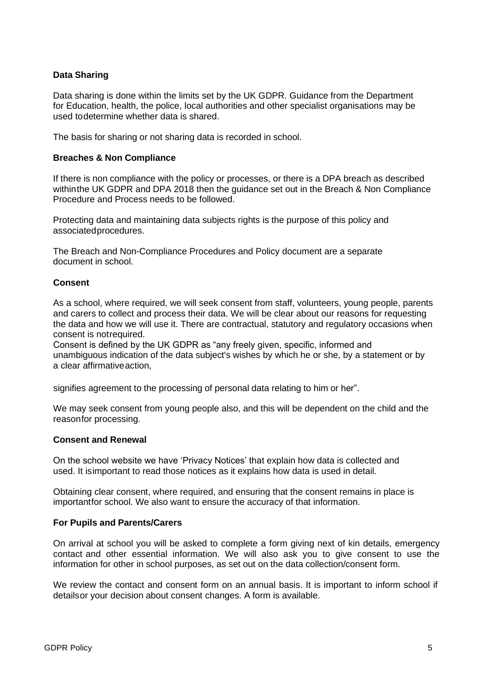# **Data Sharing**

Data sharing is done within the limits set by the UK GDPR. Guidance from the Department for Education, health, the police, local authorities and other specialist organisations may be used todetermine whether data is shared.

The basis for sharing or not sharing data is recorded in school.

#### **Breaches & Non Compliance**

If there is non compliance with the policy or processes, or there is a DPA breach as described withinthe UK GDPR and DPA 2018 then the guidance set out in the Breach & Non Compliance Procedure and Process needs to be followed.

Protecting data and maintaining data subjects rights is the purpose of this policy and associatedprocedures.

The Breach and Non-Compliance Procedures and Policy document are a separate document in school.

## **Consent**

As a school, where required, we will seek consent from staff, volunteers, young people, parents and carers to collect and process their data. We will be clear about our reasons for requesting the data and how we will use it. There are contractual, statutory and regulatory occasions when consent is notrequired.

Consent is defined by the UK GDPR as "any freely given, specific, informed and unambiguous indication of the data subject's wishes by which he or she, by a statement or by a clear affirmativeaction,

signifies agreement to the processing of personal data relating to him or her".

We may seek consent from young people also, and this will be dependent on the child and the reasonfor processing.

#### **Consent and Renewal**

On the school website we have 'Privacy Notices' that explain how data is collected and used. It isimportant to read those notices as it explains how data is used in detail.

Obtaining clear consent, where required, and ensuring that the consent remains in place is importantfor school. We also want to ensure the accuracy of that information.

#### **For Pupils and Parents/Carers**

On arrival at school you will be asked to complete a form giving next of kin details, emergency contact and other essential information. We will also ask you to give consent to use the information for other in school purposes, as set out on the data collection/consent form.

We review the contact and consent form on an annual basis. It is important to inform school if detailsor your decision about consent changes. A form is available.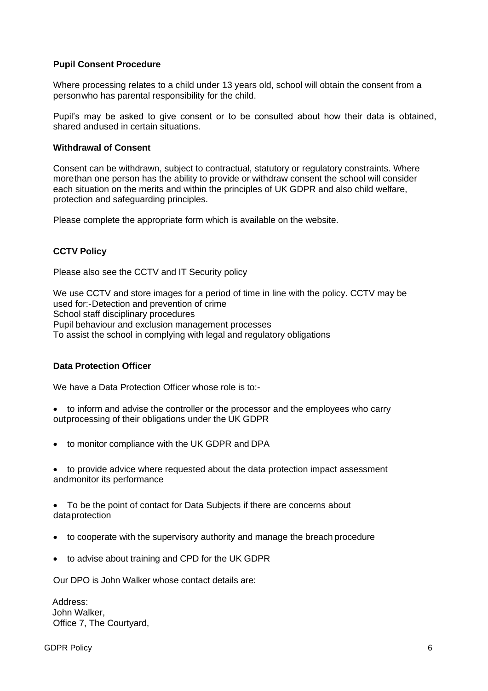## **Pupil Consent Procedure**

Where processing relates to a child under 13 years old, school will obtain the consent from a personwho has parental responsibility for the child.

Pupil's may be asked to give consent or to be consulted about how their data is obtained, shared andused in certain situations.

#### **Withdrawal of Consent**

Consent can be withdrawn, subject to contractual, statutory or regulatory constraints. Where morethan one person has the ability to provide or withdraw consent the school will consider each situation on the merits and within the principles of UK GDPR and also child welfare, protection and safeguarding principles.

Please complete the appropriate form which is available on the website.

# **CCTV Policy**

Please also see the CCTV and IT Security policy

We use CCTV and store images for a period of time in line with the policy. CCTV may be used for:-Detection and prevention of crime School staff disciplinary procedures Pupil behaviour and exclusion management processes To assist the school in complying with legal and regulatory obligations

#### **Data Protection Officer**

We have a Data Protection Officer whose role is to:-

- to inform and advise the controller or the processor and the employees who carry outprocessing of their obligations under the UK GDPR
- to monitor compliance with the UK GDPR and DPA
- to provide advice where requested about the data protection impact assessment andmonitor its performance
- To be the point of contact for Data Subjects if there are concerns about dataprotection
- to cooperate with the supervisory authority and manage the breach procedure
- to advise about training and CPD for the UK GDPR

Our DPO is John Walker whose contact details are:

Address: John Walker, Office 7, The Courtyard,